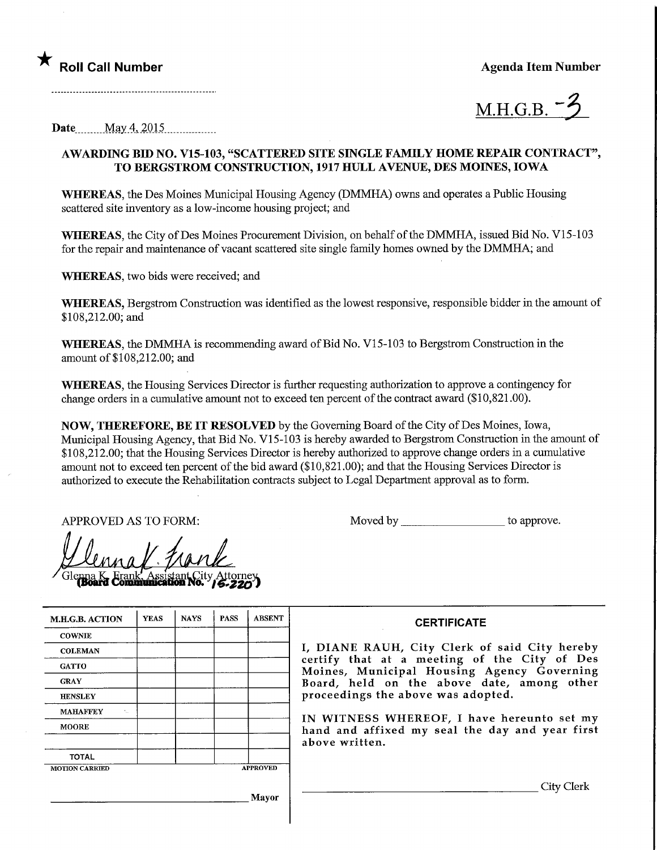



Date May 4, 2015

## AWARDING BID NO. V15-103, "SCATTERED SITE SINGLE FAMDLY HOME REPAIR CONTRACT", TO BERGSTROM CONSTRUCTION, 1917 HULL AVENUE, DES MOmES, IOWA

WHEREAS, the Des Moines Municipal Housing Agency (DMMHA) owns and operates a Public Housing scattered site inventory as a low-income housing project; and

WHEREAS, the City of Des Moines Procurement Division, on behalf of the DMMHA, issued Bid No. V15-103 for the repair and maintenance of vacant scattered site single family homes owned by the DMMHA; and

WHEREAS, two bids were received; and

WHEREAS, Bergstrom Construction was identified as the lowest responsive, responsible bidder in the amount of \$108,212.00; and

WHEREAS, the DMMHA is recommending award of Bid No. V15-103 to Bergstrom Construction in the amount of \$108,212.00; and

WHEREAS, the Housing Services Director is further requesting authorization to approve a contingency for change orders in a cumulative amount not to exceed ten percent of the contract award (\$10,821 .00).

NOW, THEREFORE, BE IT RESOLVED by the Governing Board of the City of Des Moines, Iowa, Municipal Housing Agency, that Bid No. VI 5-103 is hereby awarded to Bergstrom Construction in the amount of \$108,212.00; that the Housing Services Director is hereby authorized to approve change orders in a cumulative amount not to exceed ten percent of the bid award (\$10,821.00); and that the Housing Services Director is authorized to execute the Rehabilitation contracts subject to Legal Department approval as to form.

APPROVED AS TO FORM: Moved by to approve.

| <b>M.H.G.B. ACTION</b>                                     | <b>YEAS</b> | <b>NAYS</b> | <b>PASS</b> | <b>ABSENT</b>   | <b>CERTIF</b>                                      |
|------------------------------------------------------------|-------------|-------------|-------------|-----------------|----------------------------------------------------|
| <b>COWNIE</b>                                              |             |             |             |                 |                                                    |
| <b>COLEMAN</b>                                             |             |             |             |                 | I, DIANE RAUH, City Cl                             |
| <b>GATTO</b>                                               |             |             |             |                 | certify that at a meetin<br>Moines, Municipal Hous |
| <b>GRAY</b>                                                |             |             |             |                 | Board, held on the abo                             |
| <b>HENSLEY</b>                                             |             |             |             |                 | proceedings the above was                          |
| <b>MAHAFFEY</b><br>$\mathcal{F}_{\mathcal{L},\mathcal{L}}$ |             |             |             |                 |                                                    |
| <b>MOORE</b>                                               |             |             |             |                 | IN WITNESS WHEREOF,<br>hand and affixed my seal    |
|                                                            |             |             |             |                 | above written.                                     |
| <b>TOTAL</b>                                               |             |             |             |                 |                                                    |
| <b>MOTION CARRIED</b>                                      |             |             |             | <b>APPROVED</b> |                                                    |

Mayor

## **ICATE**

erk of said City hereby ig of the City of Des  $\mathop{\rm sign}\nolimits$  Agency Governing bve date, among other s adopted.

I have hereunto set my 1 the day and year first

. City Clerk